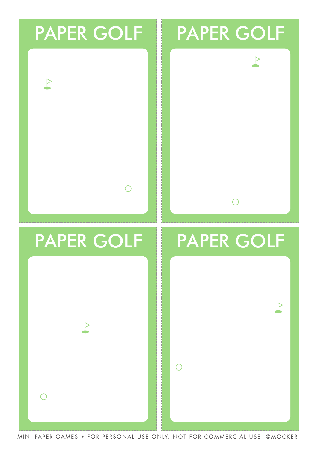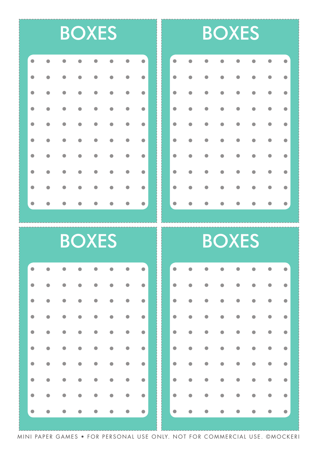### **BOXES**

|           |                                  |                                 | <b>.</b>                                                                                                                                                                 |  |
|-----------|----------------------------------|---------------------------------|--------------------------------------------------------------------------------------------------------------------------------------------------------------------------|--|
|           |                                  |                                 | <b>.</b>                                                                                                                                                                 |  |
|           |                                  |                                 | <b>.</b>                                                                                                                                                                 |  |
|           |                                  |                                 | <b>.</b>                                                                                                                                                                 |  |
|           |                                  |                                 | <b>.</b>                                                                                                                                                                 |  |
| $\bullet$ | $\bullet$ . The set of $\bullet$ |                                 | $\begin{array}{cccccccccccccc} \bullet & \bullet & \bullet & \bullet & \bullet & \bullet & \bullet & \bullet & \bullet \end{array}$                                      |  |
|           |                                  |                                 | <b>.</b>                                                                                                                                                                 |  |
|           |                                  |                                 | <b>.</b>                                                                                                                                                                 |  |
| $\bullet$ | $\bullet$                        | $\bullet \qquad \bullet \qquad$ | $\begin{array}{cccccccccccccc} \bullet & \bullet & \bullet & \bullet & \bullet & \bullet \end{array}$                                                                    |  |
|           |                                  |                                 | $\begin{array}{ ccccccccccccccccccccccc }\hline \bullet & \bullet & \bullet & \bullet & \bullet & \bullet & \bullet & \bullet & \bullet & \bullet & \bullet \end{array}$ |  |

# **BOXES**

| $\bullet$ | $\bullet$ | $\bullet$                        |                                                        |           | $\begin{bmatrix} 0 & 0 & 0 & 0 & 0 \end{bmatrix}$                                                                                                 |                         |                     |
|-----------|-----------|----------------------------------|--------------------------------------------------------|-----------|---------------------------------------------------------------------------------------------------------------------------------------------------|-------------------------|---------------------|
| $\bullet$ | $\bullet$ | $\bullet$                        |                                                        |           |                                                                                                                                                   | $\bullet \quad \bullet$ |                     |
| $\bullet$ | $\bullet$ |                                  |                                                        |           | $\bullet\qquad\bullet\qquad\bullet\qquad\bullet\qquad\bullet$                                                                                     |                         | $\bullet$ $\bullet$ |
| $\bullet$ | $\bullet$ |                                  | $\bullet \qquad \bullet \qquad \bullet$                |           | $\bullet \qquad \bullet \qquad \bullet$                                                                                                           | $\bullet$               | $\bullet$           |
| $\bullet$ | $\bullet$ |                                  | $\bullet \qquad \bullet \qquad$                        | $\bullet$ | $\bullet$                                                                                                                                         | $\bullet$               | $\bullet$           |
| $\bullet$ | $\bullet$ |                                  | $\bullet \qquad \bullet \qquad \bullet$                |           | $\bullet \qquad \bullet \qquad$                                                                                                                   |                         | $\bullet$ $\bullet$ |
| $\bullet$ | $\bullet$ |                                  | $\bullet \qquad \bullet \qquad \bullet \qquad \bullet$ |           | $\bullet$                                                                                                                                         |                         | $\bullet$ $\bullet$ |
| $\bullet$ | $\bullet$ | $\bullet$                        | $\bullet$                                              | $\bullet$ | $\bullet$                                                                                                                                         | $\bullet$               | $\bullet$           |
| $\bullet$ | $\bullet$ | $\bullet$ . The set of $\bullet$ | $\bullet$                                              |           | $\bullet \qquad \bullet \qquad \bullet$                                                                                                           | $\bullet$               | $\bullet$           |
| $\bullet$ |           |                                  |                                                        |           | $\begin{array}{cccccccccccccccccc} \bullet & \bullet & \bullet & \bullet & \bullet & \bullet & \bullet & \bullet & \bullet & \bullet \end{array}$ |                         |                     |

 $\bullet$ 

 $\bullet$ 

 $\bullet$ 

 $\bullet$ 

 $\bullet$ 

 $\bullet$ 

٠

 $\bullet$ 

 $\bullet$ 

 $\bullet$ 

 $\bullet$ 

 $\bullet$ 

 $\bullet$ 

 $\bullet$ 

 $\bullet$ 

 $\bullet$ 

 $\bullet$ 

Ċ

| <b>BOXES</b> |  |  |  |  |  |  |           |  |  |  | <b>BOXES</b> |  |
|--------------|--|--|--|--|--|--|-----------|--|--|--|--------------|--|
|              |  |  |  |  |  |  |           |  |  |  |              |  |
|              |  |  |  |  |  |  |           |  |  |  |              |  |
|              |  |  |  |  |  |  |           |  |  |  |              |  |
|              |  |  |  |  |  |  | $\bullet$ |  |  |  |              |  |
|              |  |  |  |  |  |  | $\bullet$ |  |  |  |              |  |
|              |  |  |  |  |  |  |           |  |  |  |              |  |
|              |  |  |  |  |  |  |           |  |  |  |              |  |
|              |  |  |  |  |  |  | $\bullet$ |  |  |  |              |  |
|              |  |  |  |  |  |  | $\bullet$ |  |  |  |              |  |
|              |  |  |  |  |  |  | $\bullet$ |  |  |  |              |  |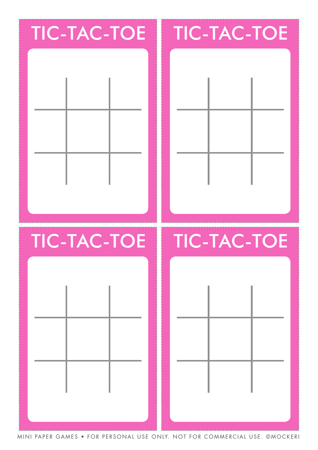## **TIC-TAC-TOE**

## **TIC-TAC-TOE**





#### **TIC-TAC-TOE**

## **TIC-TAC-TOE**

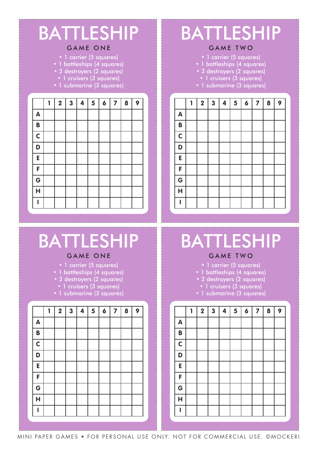#### **BATTLESHIP**

#### GAME ONE

- 1 carrier (5 squares)
- 1 battleships (4 squares)
- 2 destroyers (2 squares)
- 1 cruisers (3 squares)
- 1 submarine (3 squares)

|                         | 1 | $\overline{\mathbf{2}}$ | $\mathbf{3}$ | $\overline{\mathbf{4}}$ | 5 | $\boldsymbol{6}$ | $\overline{\mathbf{z}}$ | $\boldsymbol{8}$ | 9 |
|-------------------------|---|-------------------------|--------------|-------------------------|---|------------------|-------------------------|------------------|---|
| A                       |   |                         |              |                         |   |                  |                         |                  |   |
| B                       |   |                         |              |                         |   |                  |                         |                  |   |
| $\overline{\mathsf{c}}$ |   |                         |              |                         |   |                  |                         |                  |   |
| $\overline{\mathsf{D}}$ |   |                         |              |                         |   |                  |                         |                  |   |
| E                       |   |                         |              |                         |   |                  |                         |                  |   |
| F                       |   |                         |              |                         |   |                  |                         |                  |   |
| $\overline{G}$          |   |                         |              |                         |   |                  |                         |                  |   |
| $\overline{H}$          |   |                         |              |                         |   |                  |                         |                  |   |
| I                       |   |                         |              |                         |   |                  |                         |                  |   |
|                         |   |                         |              |                         |   |                  |                         |                  |   |

#### **BATTLESHIP**

#### GAME TWO

- 1 carrier (5 squares)
- 1 battleships (4 squares)
- 2 destroyers (2 squares)
	- 1 cruisers (3 squares)
- 1 submarine (3 squares)

|              | 1 | $\boldsymbol{2}$ | $\mathbf{3}$ | 4 | $\overline{\mathbf{5}}$ | $\boldsymbol{6}$ | $\overline{\mathbf{z}}$ | 8 | 9 |
|--------------|---|------------------|--------------|---|-------------------------|------------------|-------------------------|---|---|
| $\mathsf{A}$ |   |                  |              |   |                         |                  |                         |   |   |
| $\mathbf B$  |   |                  |              |   |                         |                  |                         |   |   |
| $\mathsf{C}$ |   |                  |              |   |                         |                  |                         |   |   |
| D            |   |                  |              |   |                         |                  |                         |   |   |
| E            |   |                  |              |   |                         |                  |                         |   |   |
| F            |   |                  |              |   |                         |                  |                         |   |   |
| G            |   |                  |              |   |                         |                  |                         |   |   |
| Ĥ            |   |                  |              |   |                         |                  |                         |   |   |
|              |   |                  |              |   |                         |                  |                         |   |   |
|              |   |                  |              |   |                         |                  |                         |   |   |

## **BATTLESHIP**

#### GAME ONE

- 1 carrier (5 squares)
- 1 battleships (4 squares)
- 2 destroyers (2 squares)
- 1 cruisers (3 squares)
- 1 submarine (3 squares)

|                         | 1 | $\overline{\mathbf{2}}$ | $\mathbf{3}$ | 4 | $\overline{\mathbf{5}}$ | $\boldsymbol{6}$ | $\overline{\mathbf{z}}$ | 8 | 9 |
|-------------------------|---|-------------------------|--------------|---|-------------------------|------------------|-------------------------|---|---|
| $\mathsf{A}$            |   |                         |              |   |                         |                  |                         |   |   |
| B                       |   |                         |              |   |                         |                  |                         |   |   |
| $\mathsf{C}$            |   |                         |              |   |                         |                  |                         |   |   |
| D                       |   |                         |              |   |                         |                  |                         |   |   |
| E                       |   |                         |              |   |                         |                  |                         |   |   |
| F                       |   |                         |              |   |                         |                  |                         |   |   |
| G                       |   |                         |              |   |                         |                  |                         |   |   |
| $\overline{\mathsf{H}}$ |   |                         |              |   |                         |                  |                         |   |   |
|                         |   |                         |              |   |                         |                  |                         |   |   |
|                         |   |                         |              |   |                         |                  |                         |   |   |

## **BATTLESHIP**

#### GAME TWO

- 1 carrier (5 squares)
- 1 battleships (4 squares)
- 2 destroyers (2 squares)
	- 1 cruisers (3 squares)
- 1 submarine (3 squares)

|                         | 1 | $\mathbf 2$ | $\mathbf{3}$ | 4 | 5 | $\boldsymbol{6}$ | $\overline{\mathbf{7}}$ | 8 | 9 |
|-------------------------|---|-------------|--------------|---|---|------------------|-------------------------|---|---|
| $\mathbf{A}$            |   |             |              |   |   |                  |                         |   |   |
| B                       |   |             |              |   |   |                  |                         |   |   |
| $\overline{\mathsf{c}}$ |   |             |              |   |   |                  |                         |   |   |
| D                       |   |             |              |   |   |                  |                         |   |   |
| E                       |   |             |              |   |   |                  |                         |   |   |
| F                       |   |             |              |   |   |                  |                         |   |   |
| G                       |   |             |              |   |   |                  |                         |   |   |
| $\overline{\mathsf{H}}$ |   |             |              |   |   |                  |                         |   |   |
|                         |   |             |              |   |   |                  |                         |   |   |